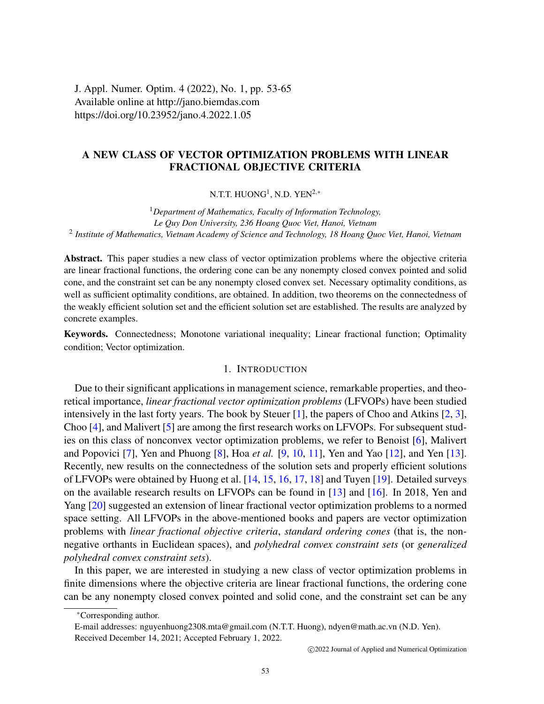J. Appl. Numer. Optim. 4 (2022), No. 1, pp. 53-65 Available online at http://jano.biemdas.com https://doi.org/10.23952/jano.4.2022.1.05

# A NEW CLASS OF VECTOR OPTIMIZATION PROBLEMS WITH LINEAR FRACTIONAL OBJECTIVE CRITERIA

N.T.T.  $\mathrm{HUONG}^{1}$ , N.D.  $\mathrm{YEN}^{2,*}$ 

<sup>1</sup>*Department of Mathematics, Faculty of Information Technology, Le Quy Don University, 236 Hoang Quoc Viet, Hanoi, Vietnam* 2 *Institute of Mathematics, Vietnam Academy of Science and Technology, 18 Hoang Quoc Viet, Hanoi, Vietnam*

Abstract. This paper studies a new class of vector optimization problems where the objective criteria are linear fractional functions, the ordering cone can be any nonempty closed convex pointed and solid cone, and the constraint set can be any nonempty closed convex set. Necessary optimality conditions, as well as sufficient optimality conditions, are obtained. In addition, two theorems on the connectedness of the weakly efficient solution set and the efficient solution set are established. The results are analyzed by concrete examples.

Keywords. Connectedness; Monotone variational inequality; Linear fractional function; Optimality condition; Vector optimization.

## 1. INTRODUCTION

Due to their significant applications in management science, remarkable properties, and theoretical importance, *linear fractional vector optimization problems* (LFVOPs) have been studied intensively in the last forty years. The book by Steuer [\[1\]](#page-11-0), the papers of Choo and Atkins [\[2,](#page-11-1) [3\]](#page-11-2), Choo [\[4\]](#page-11-3), and Malivert [\[5\]](#page-11-4) are among the first research works on LFVOPs. For subsequent studies on this class of nonconvex vector optimization problems, we refer to Benoist [\[6\]](#page-12-0), Malivert and Popovici [\[7\]](#page-12-1), Yen and Phuong [\[8\]](#page-12-2), Hoa *et al.* [\[9,](#page-12-3) [10,](#page-12-4) [11\]](#page-12-5), Yen and Yao [\[12\]](#page-12-6), and Yen [\[13\]](#page-12-7). Recently, new results on the connectedness of the solution sets and properly efficient solutions of LFVOPs were obtained by Huong et al. [\[14,](#page-12-8) [15,](#page-12-9) [16,](#page-12-10) [17,](#page-12-11) [18\]](#page-12-12) and Tuyen [\[19\]](#page-12-13). Detailed surveys on the available research results on LFVOPs can be found in [\[13\]](#page-12-7) and [\[16\]](#page-12-10). In 2018, Yen and Yang [\[20\]](#page-12-14) suggested an extension of linear fractional vector optimization problems to a normed space setting. All LFVOPs in the above-mentioned books and papers are vector optimization problems with *linear fractional objective criteria*, *standard ordering cones* (that is, the nonnegative orthants in Euclidean spaces), and *polyhedral convex constraint sets* (or *generalized polyhedral convex constraint sets*).

In this paper, we are interested in studying a new class of vector optimization problems in finite dimensions where the objective criteria are linear fractional functions, the ordering cone can be any nonempty closed convex pointed and solid cone, and the constraint set can be any

<sup>∗</sup>Corresponding author.

E-mail addresses: nguyenhuong2308.mta@gmail.com (N.T.T. Huong), ndyen@math.ac.vn (N.D. Yen). Received December 14, 2021; Accepted February 1, 2022.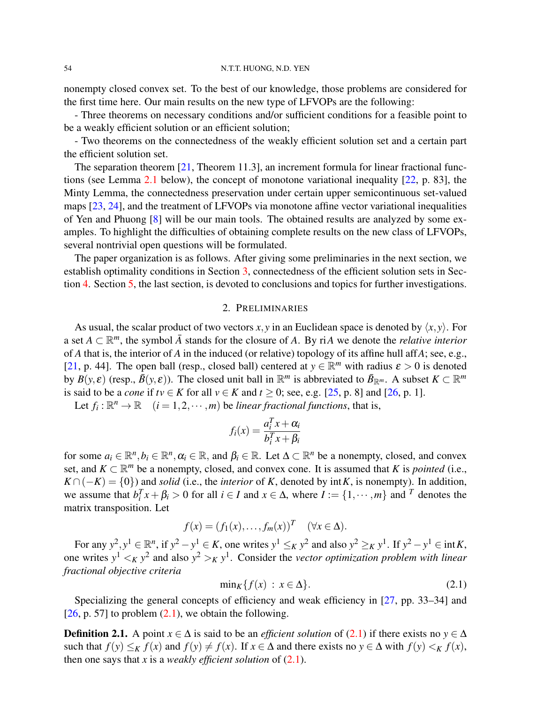#### 54 N.T.T. HUONG, N.D. YEN

nonempty closed convex set. To the best of our knowledge, those problems are considered for the first time here. Our main results on the new type of LFVOPs are the following:

- Three theorems on necessary conditions and/or sufficient conditions for a feasible point to be a weakly efficient solution or an efficient solution;

- Two theorems on the connectedness of the weakly efficient solution set and a certain part the efficient solution set.

The separation theorem [\[21,](#page-12-15) Theorem 11.3], an increment formula for linear fractional functions (see Lemma [2.1](#page-2-0) below), the concept of monotone variational inequality [\[22,](#page-12-16) p. 83], the Minty Lemma, the connectedness preservation under certain upper semicontinuous set-valued maps [\[23,](#page-12-17) [24\]](#page-12-18), and the treatment of LFVOPs via monotone affine vector variational inequalities of Yen and Phuong [\[8\]](#page-12-2) will be our main tools. The obtained results are analyzed by some examples. To highlight the difficulties of obtaining complete results on the new class of LFVOPs, several nontrivial open questions will be formulated.

The paper organization is as follows. After giving some preliminaries in the next section, we establish optimality conditions in Section [3,](#page-4-0) connectedness of the efficient solution sets in Section [4.](#page-9-0) Section [5,](#page-11-5) the last section, is devoted to conclusions and topics for further investigations.

## 2. PRELIMINARIES

As usual, the scalar product of two vectors *x*, *y* in an Euclidean space is denoted by  $\langle x, y \rangle$ . For a set  $A \subset \mathbb{R}^m$ , the symbol  $\overline{A}$  stands for the closure of A. By riA we denote the *relative interior* of *A* that is, the interior of *A* in the induced (or relative) topology of its affine hull aff*A*; see, e.g., [\[21,](#page-12-15) p. 44]. The open ball (resp., closed ball) centered at  $y \in \mathbb{R}^m$  with radius  $\varepsilon > 0$  is denoted by  $B(y, \varepsilon)$  (resp.,  $\bar{B}(y, \varepsilon)$ ). The closed unit ball in  $\mathbb{R}^m$  is abbreviated to  $\bar{B}_{\mathbb{R}^m}$ . A subset  $K \subset \mathbb{R}^m$ is said to be a *cone* if  $tv \in K$  for all  $v \in K$  and  $t \ge 0$ ; see, e.g. [\[25,](#page-12-19) p. 8] and [\[26,](#page-12-20) p. 1].

Let  $f_i: \mathbb{R}^n \to \mathbb{R}$   $(i = 1, 2, \dots, m)$  be *linear fractional functions*, that is,

$$
f_i(x) = \frac{a_i^T x + \alpha_i}{b_i^T x + \beta_i}
$$

for some  $a_i \in \mathbb{R}^n, b_i \in \mathbb{R}^n, \alpha_i \in \mathbb{R}$ , and  $\beta_i \in \mathbb{R}$ . Let  $\Delta \subset \mathbb{R}^n$  be a nonempty, closed, and convex set, and  $K \subset \mathbb{R}^m$  be a nonempty, closed, and convex cone. It is assumed that *K* is *pointed* (i.e.,  $K \cap (-K) = \{0\}$  and *solid* (i.e., the *interior* of *K*, denoted by int*K*, is nonempty). In addition, we assume that  $b_i^T x + \beta_i > 0$  for all  $i \in I$  and  $x \in \Delta$ , where  $I := \{1, \dots, m\}$  and  $^T$  denotes the matrix transposition. Let

$$
f(x) = (f_1(x), \dots, f_m(x))^T \quad (\forall x \in \Delta).
$$

For any  $y^2, y^1 \in \mathbb{R}^n$ , if  $y^2 - y^1 \in K$ , one writes  $y^1 \leq_K y^2$  and also  $y^2 \geq_K y^1$ . If  $y^2 - y^1 \in \text{int } K$ , one writes  $y^1 <_K y^2$  and also  $y^2 >_K y^1$ . Consider the *vector optimization problem with linear fractional objective criteria*

<span id="page-1-0"></span>
$$
\min_K \{ f(x) : x \in \Delta \}. \tag{2.1}
$$

Specializing the general concepts of efficiency and weak efficiency in [\[27,](#page-12-21) pp. 33–34] and  $[26, p. 57]$  $[26, p. 57]$  to problem  $(2.1)$ , we obtain the following.

**Definition 2.1.** A point  $x \in \Delta$  is said to be an *efficient solution* of [\(2.1\)](#page-1-0) if there exists no  $y \in \Delta$ such that  $f(y) \leq_K f(x)$  and  $f(y) \neq f(x)$ . If  $x \in \Delta$  and there exists no  $y \in \Delta$  with  $f(y) \leq_K f(x)$ , then one says that *x* is a *weakly efficient solution* of  $(2.1)$ .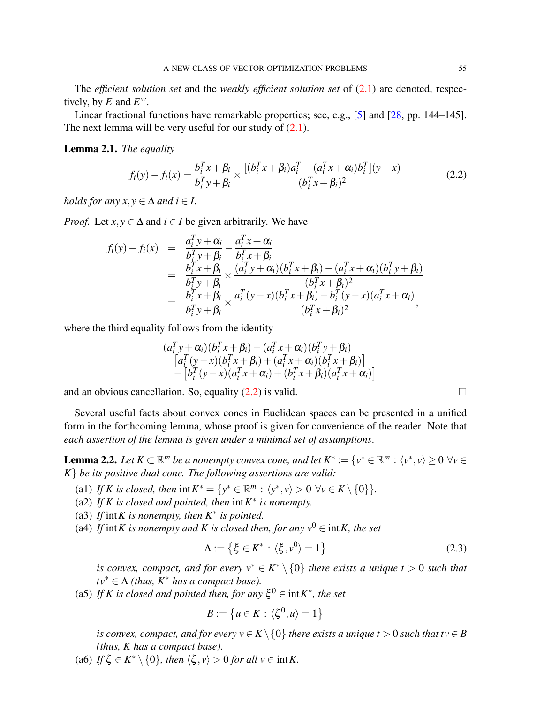The *efficient solution set* and the *weakly efficient solution set* of [\(2.1\)](#page-1-0) are denoted, respectively, by *E* and  $E^w$ .

Linear fractional functions have remarkable properties; see, e.g., [\[5\]](#page-11-4) and [\[28,](#page-12-22) pp. 144–145]. The next lemma will be very useful for our study of  $(2.1)$ .

# <span id="page-2-0"></span>Lemma 2.1. *The equality*

<span id="page-2-1"></span>
$$
f_i(y) - f_i(x) = \frac{b_i^T x + \beta_i}{b_i^T y + \beta_i} \times \frac{[(b_i^T x + \beta_i)a_i^T - (a_i^T x + \alpha_i)b_i^T](y - x)}{(b_i^T x + \beta_i)^2}
$$
(2.2)

*holds for any x, y*  $\in \Delta$  *and i*  $\in I$ *.* 

*Proof.* Let  $x, y \in \Delta$  and  $i \in I$  be given arbitrarily. We have

$$
f_i(y) - f_i(x) = \frac{a_i^T y + \alpha_i}{b_i^T y + \beta_i} - \frac{a_i^T x + \alpha_i}{b_i^T x + \beta_i}
$$
  
\n
$$
= \frac{b_i^T x + \beta_i}{b_i^T y + \beta_i} \times \frac{(a_i^T y + \alpha_i)(b_i^T x + \beta_i) - (a_i^T x + \alpha_i)(b_i^T y + \beta_i)}{(b_i^T x + \beta_i)^2}
$$
  
\n
$$
= \frac{b_i^T x + \beta_i}{b_i^T y + \beta_i} \times \frac{a_i^T (y - x)(b_i^T x + \beta_i) - b_i^T (y - x)(a_i^T x + \alpha_i)}{(b_i^T x + \beta_i)^2},
$$

where the third equality follows from the identity

$$
(a_i^T y + \alpha_i)(b_i^T x + \beta_i) - (a_i^T x + \alpha_i)(b_i^T y + \beta_i)
$$
  
=  $[a_i^T (y - x)(b_i^T x + \beta_i) + (a_i^T x + \alpha_i)(b_i^T x + \beta_i)]$   
-  $[b_i^T (y - x)(a_i^T x + \alpha_i) + (b_i^T x + \beta_i)(a_i^T x + \alpha_i)]$ 

and an obvious cancellation. So, equality [\(2.2\)](#page-2-1) is valid.  $\square$ 

Several useful facts about convex cones in Euclidean spaces can be presented in a unified form in the forthcoming lemma, whose proof is given for convenience of the reader. Note that *each assertion of the lemma is given under a minimal set of assumptions*.

<span id="page-2-3"></span>**Lemma 2.2.** Let  $K \subset \mathbb{R}^m$  be a nonempty convex cone, and let  $K^* := \{v^* \in \mathbb{R}^m : \langle v^*, v \rangle \ge 0 \,\,\forall v \in K^* \}$ *K*} *be its positive dual cone. The following assertions are valid:*

(a1) *If K is closed, then*  $int K^* = \{y^* \in \mathbb{R}^m : \langle y^*, v \rangle > 0 \ \forall v \in K \setminus \{0\} \}.$ 

- (a2) If K is closed and pointed, then  $int K^*$  is nonempty.
- (a3) *If* int*K is nonempty, then K*<sup>∗</sup> *is pointed.*
- (a4) *If* int*K* is nonempty and *K* is closed then, for any  $v^0 \in \text{int } K$ , the set

<span id="page-2-2"></span>
$$
\Lambda := \left\{ \xi \in K^* : \langle \xi, v^0 \rangle = 1 \right\} \tag{2.3}
$$

*is convex, compact, and for every*  $v^* \in K^* \setminus \{0\}$  *there exists a unique t* > 0 *such that*  $tv^* \in \Lambda$  *(thus, K<sup>∗</sup> has a compact base).* 

(a5) If K is closed and pointed then, for any  $\xi^0 \in \text{int}K^*$ , the set

$$
B:=\left\{u\in K:\,\langle \xi^0,u\rangle=1\right\}
$$

*is convex, compact, and for every*  $v \in K \setminus \{0\}$  *there exists a unique t* > 0 *such that tv*  $\in$  *B (thus, K has a compact base).*

(a6) *If*  $\xi \in K^* \setminus \{0\}$ *, then*  $\langle \xi, v \rangle > 0$  *for all v*  $\in$  int*K*.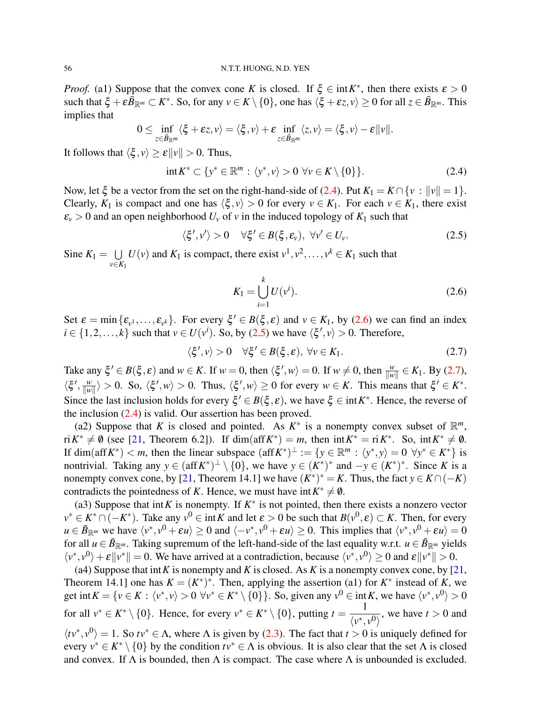#### 56 N.T.T. HUONG, N.D. YEN

*Proof.* (a1) Suppose that the convex cone *K* is closed. If  $\xi \in \text{int } K^*$ , then there exists  $\varepsilon > 0$ such that  $\xi + \varepsilon \bar{B}_{\mathbb{R}^m} \subset K^*$ . So, for any  $v \in K \setminus \{0\}$ , one has  $\langle \xi + \varepsilon z, v \rangle \ge 0$  for all  $z \in \bar{B}_{\mathbb{R}^m}$ . This implies that

$$
0 \leq \inf_{z \in \bar{\mathcal{B}}_{\mathbb{R}^m}} \langle \xi + \varepsilon z, v \rangle = \langle \xi, v \rangle + \varepsilon \inf_{z \in \bar{\mathcal{B}}_{\mathbb{R}^m}} \langle z, v \rangle = \langle \xi, v \rangle - \varepsilon ||v||.
$$

It follows that  $\langle \xi, v \rangle \ge \varepsilon ||v|| > 0$ . Thus,

<span id="page-3-0"></span>
$$
int K^* \subset \{y^* \in \mathbb{R}^m : \langle y^*, v \rangle > 0 \,\,\forall v \in K \setminus \{0\}\}.
$$

Now, let  $\xi$  be a vector from the set on the right-hand-side of [\(2.4\)](#page-3-0). Put  $K_1 = K \cap \{v : ||v|| = 1\}$ . Clearly,  $K_1$  is compact and one has  $\langle \xi, v \rangle > 0$  for every  $v \in K_1$ . For each  $v \in K_1$ , there exist  $\varepsilon$ <sup>*v*</sup>  $>$  0 and an open neighborhood  $U$ <sup>*v*</sup> of *v* in the induced topology of  $K$ <sup>1</sup> such that

<span id="page-3-2"></span>
$$
\langle \xi', v' \rangle > 0 \quad \forall \xi' \in B(\xi, \varepsilon_v), \ \forall v' \in U_v. \tag{2.5}
$$

Sine  $K_1 = \cup$ *v*∈*K*<sup>1</sup>  $U(v)$  and  $K_1$  is compact, there exist  $v^1, v^2, \ldots, v^k \in K_1$  such that

<span id="page-3-1"></span>
$$
K_1 = \bigcup_{i=1}^{k} U(v^i).
$$
 (2.6)

Set  $\varepsilon = \min{\{\varepsilon_{\nu^1}, \dots, \varepsilon_{\nu^k}\}}$ . For every  $\xi' \in B(\xi, \varepsilon)$  and  $\nu \in K_1$ , by [\(2.6\)](#page-3-1) we can find an index  $i \in \{1, 2, ..., k\}$  such that  $v \in U(v^i)$ . So, by [\(2.5\)](#page-3-2) we have  $\langle \xi', v \rangle > 0$ . Therefore,

<span id="page-3-3"></span>
$$
\langle \xi', v \rangle > 0 \quad \forall \xi' \in B(\xi, \varepsilon), \ \forall v \in K_1. \tag{2.7}
$$

Take any  $\xi' \in B(\xi, \varepsilon)$  and  $w \in K$ . If  $w = 0$ , then  $\langle \xi', w \rangle = 0$ . If  $w \neq 0$ , then  $\frac{w}{\|w\|} \in K_1$ . By [\(2.7\)](#page-3-3),  $\langle \xi', \frac{w}{\|w\|}$  $\frac{w}{\|w\|}\rangle > 0$ . So,  $\langle \xi', w \rangle > 0$ . Thus,  $\langle \xi', w \rangle \ge 0$  for every  $w \in K$ . This means that  $\xi' \in K^*$ . Since the last inclusion holds for every  $\xi' \in B(\xi, \varepsilon)$ , we have  $\xi \in \text{int}K^*$ . Hence, the reverse of the inclusion [\(2.4\)](#page-3-0) is valid. Our assertion has been proved.

(a2) Suppose that *K* is closed and pointed. As  $K^*$  is a nonempty convex subset of  $\mathbb{R}^m$ ,  $\text{ri } K^* \neq \emptyset$  (see [\[21,](#page-12-15) Theorem 6.2]). If dim(aff*K*<sup>\*</sup>) = *m*, then  $\text{int } K^* = \text{ri } K^*$ . So,  $\text{int } K^* \neq \emptyset$ . If  $\dim(\text{aff } K^*) < m$ , then the linear subspace  $(\text{aff } K^*)^{\perp} := \{y \in \mathbb{R}^m : \langle y^*, y \rangle = 0 \ \forall y^* \in K^*\}\$ is nontrivial. Taking any  $y \in (\text{aff } K^*)^{\perp} \setminus \{0\}$ , we have  $y \in (K^*)^*$  and  $-y \in (K^*)^*$ . Since *K* is a nonempty convex cone, by [\[21,](#page-12-15) Theorem 14.1] we have  $(K^*)^* = K$ . Thus, the fact  $y \in K \cap (-K)$ contradicts the pointedness of *K*. Hence, we must have  $int K^* \neq \emptyset$ .

(a3) Suppose that int K is nonempty. If  $K^*$  is not pointed, then there exists a nonzero vector *v*<sup>\*</sup> ∈ *K*<sup>\*</sup> ∩ (−*K*<sup>\*</sup>). Take any *v*<sup>0</sup> ∈ int*K* and let  $\varepsilon > 0$  be such that  $B(v^0, \varepsilon) \subset K$ . Then, for every  $u \in \bar{B}_{\mathbb{R}^m}$  we have  $\langle v^*, v^0 + \varepsilon u \rangle \ge 0$  and  $\langle -v^*, v^0 + \varepsilon u \rangle \ge 0$ . This implies that  $\langle v^*, v^0 + \varepsilon u \rangle = 0$ for all  $u \in \bar{B}_{\mathbb{R}^m}$ . Taking supremum of the left-hand-side of the last equality w.r.t.  $u \in \bar{B}_{\mathbb{R}^m}$  yields  $\langle v^*, v^0 \rangle + \varepsilon \|v^*\| = 0$ . We have arrived at a contradiction, because  $\langle v^*, v^0 \rangle \ge 0$  and  $\varepsilon \|v^*\| > 0$ .

(a4) Suppose that int*K* is nonempty and *K* is closed. As *K* is a nonempty convex cone, by [\[21,](#page-12-15) Theorem 14.1] one has  $K = (K^*)^*$ . Then, applying the assertion (a1) for  $K^*$  instead of K, we get int  $K = \{v \in K : \langle v^*, v \rangle > 0 \,\,\forall v^* \in K^* \setminus \{0\}\}\.$  So, given any  $v^0 \in \text{int } K$ , we have  $\langle v^*, v^0 \rangle > 0$ for all  $v^* \in K^* \setminus \{0\}$ . Hence, for every  $v^* \in K^* \setminus \{0\}$ , putting  $t = \frac{1}{\sqrt{2\pi}}$  $\frac{1}{\langle v^*, v^0 \rangle}$ , we have  $t > 0$  and  $\langle tv^*, v^0 \rangle = 1$ . So  $tv^* \in \Lambda$ , where  $\Lambda$  is given by [\(2.3\)](#page-2-2). The fact that  $t > 0$  is uniquely defined for every  $v^* \in K^* \setminus \{0\}$  by the condition  $tv^* \in \Lambda$  is obvious. It is also clear that the set  $\Lambda$  is closed and convex. If  $\Lambda$  is bounded, then  $\Lambda$  is compact. The case where  $\Lambda$  is unbounded is excluded.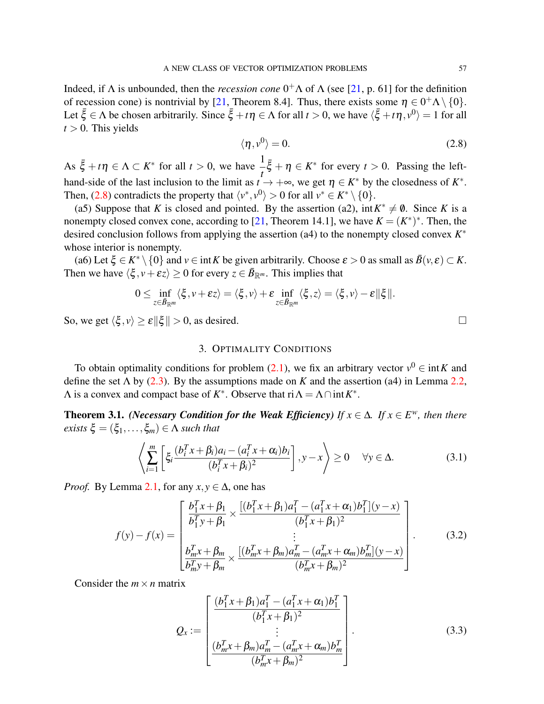Indeed, if  $\Lambda$  is unbounded, then the *recession cone*  $0^+\Lambda$  of  $\Lambda$  (see [\[21,](#page-12-15) p. 61] for the definition of recession cone) is nontrivial by [\[21,](#page-12-15) Theorem 8.4]. Thus, there exists some  $\eta \in 0^+ \Lambda \setminus \{0\}$ . Let  $\bar{\xi} \in \Lambda$  be chosen arbitrarily. Since  $\bar{\xi} + t\eta \in \Lambda$  for all  $t > 0$ , we have  $\langle \bar{\xi} + t\eta, v^0 \rangle = 1$  for all  $t > 0$ . This yields

<span id="page-4-1"></span>
$$
\langle \eta, v^0 \rangle = 0. \tag{2.8}
$$

As  $\bar{\xi} + t\eta \in \Lambda \subset K^*$  for all  $t > 0$ , we have  $\frac{1}{t}\bar{\xi} + \eta \in K^*$  for every  $t > 0$ . Passing the lefthand-side of the last inclusion to the limit as  $t \to +\infty$ , we get  $\eta \in K^*$  by the closedness of  $K^*$ . Then, [\(2.8\)](#page-4-1) contradicts the property that  $\langle v^*, v^0 \rangle > 0$  for all  $v^* \in K^* \setminus \{0\}.$ 

(a5) Suppose that *K* is closed and pointed. By the assertion (a2),  $int K^* \neq \emptyset$ . Since *K* is a nonempty closed convex cone, according to [\[21,](#page-12-15) Theorem 14.1], we have  $K = (K^*)^*$ . Then, the desired conclusion follows from applying the assertion (a4) to the nonempty closed convex *K* ∗ whose interior is nonempty.

(a6) Let  $\xi \in K^* \setminus \{0\}$  and  $v \in \text{int } K$  be given arbitrarily. Choose  $\varepsilon > 0$  as small as  $\overline{B}(v, \varepsilon) \subset K$ . Then we have  $\langle \xi, v+\varepsilon z \rangle \ge 0$  for every  $z \in \overline{B}_{\mathbb{R}^m}$ . This implies that

$$
0\leq \inf_{z\in \bar{\mathcal{B}}_{\mathbb{R}^m}}\langle \xi,\nu+\varepsilon z\rangle=\langle \xi,\nu\rangle+\varepsilon\inf_{z\in \bar{\mathcal{B}}_{\mathbb{R}^m}}\langle \xi,z\rangle=\langle \xi,\nu\rangle-\varepsilon\|\xi\|.
$$

So, we get  $\langle \xi, v \rangle \ge \varepsilon ||\xi|| > 0$ , as desired.

## 3. OPTIMALITY CONDITIONS

<span id="page-4-0"></span>To obtain optimality conditions for problem [\(2.1\)](#page-1-0), we fix an arbitrary vector  $v^0 \in \text{int } K$  and define the set  $\Lambda$  by [\(2.3\)](#page-2-2). By the assumptions made on *K* and the assertion (a4) in Lemma [2.2,](#page-2-3)  $\Lambda$  is a convex and compact base of  $K^*$ . Observe that  $\text{ri } \Lambda = \Lambda \cap \text{int } K^*$ .

<span id="page-4-5"></span>**Theorem 3.1.** *(Necessary Condition for the Weak Efficiency) If*  $x \in \Delta$ *. If*  $x \in E^w$ *, then there exists*  $\xi = (\xi_1, \ldots, \xi_m) \in \Lambda$  *such that* 

<span id="page-4-4"></span>
$$
\left\langle \sum_{i=1}^{m} \left[ \xi_i \frac{(b_i^T x + \beta_i) a_i - (a_i^T x + \alpha_i) b_i}{(b_i^T x + \beta_i)^2} \right], y - x \right\rangle \ge 0 \quad \forall y \in \Delta.
$$
 (3.1)

*Proof.* By Lemma [2.1,](#page-2-0) for any  $x, y \in \Delta$ , one has

<span id="page-4-2"></span>
$$
f(y) - f(x) = \begin{bmatrix} \frac{b_1^T x + \beta_1}{b_1^T y + \beta_1} \times \frac{[(b_1^T x + \beta_1)a_1^T - (a_1^T x + \alpha_1)b_1^T](y - x)}{(b_1^T x + \beta_1)^2} \\ \vdots \\ \frac{b_m^T x + \beta_m}{b_m^T y + \beta_m} \times \frac{[(b_m^T x + \beta_m)a_m^T - (a_m^T x + \alpha_m)b_m^T](y - x)}{(b_m^T x + \beta_m)^2} \end{bmatrix} .
$$
 (3.2)

Consider the  $m \times n$  matrix

<span id="page-4-3"></span>
$$
Q_{x} := \begin{bmatrix} \frac{(b_1^T x + \beta_1)a_1^T - (a_1^T x + \alpha_1)b_1^T}{(b_1^T x + \beta_1)^2} \\ \vdots \\ \frac{(b_m^T x + \beta_m)a_m^T - (a_m^T x + \alpha_m)b_m^T}{(b_m^T x + \beta_m)^2} \end{bmatrix} .
$$
 (3.3)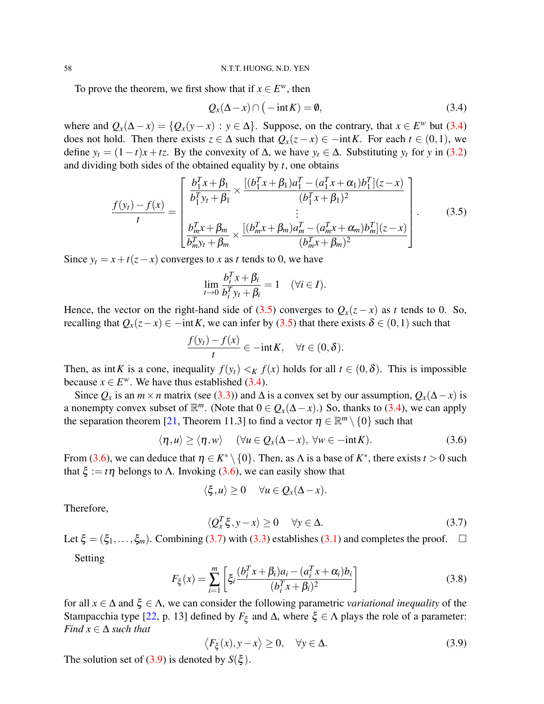To prove the theorem, we first show that if  $x \in E^w$ , then

<span id="page-5-0"></span>
$$
Q_x(\Delta - x) \cap (-\operatorname{int} K) = \emptyset, \tag{3.4}
$$

where and  $Q_x(\Delta - x) = \{Q_x(y - x) : y \in \Delta\}$ . Suppose, on the contrary, that  $x \in E^w$  but [\(3.4\)](#page-5-0) does not hold. Then there exists  $z \in \Delta$  such that  $Q_x(z-x) \in -\mathrm{int}K$ . For each  $t \in (0,1)$ , we define  $y_t = (1-t)x + tz$ . By the convexity of  $\Delta$ , we have  $y_t \in \Delta$ . Substituting  $y_t$  for *y* in [\(3.2\)](#page-4-2) and dividing both sides of the obtained equality by *t*, one obtains

<span id="page-5-1"></span>
$$
\frac{f(y_t) - f(x)}{t} = \begin{bmatrix} \frac{b_1^T x + \beta_1}{b_1^T y_t + \beta_1} \times \frac{[(b_1^T x + \beta_1)a_1^T - (a_1^T x + \alpha_1)b_1^T](z - x)}{(b_1^T x + \beta_1)^2} \\ \vdots \\ \frac{b_m^T x + \beta_m}{b_m^T y_t + \beta_m} \times \frac{[(b_m^T x + \beta_m)a_m^T - (a_m^T x + \alpha_m)b_m^T](z - x)}{(b_m^T x + \beta_m)^2} \end{bmatrix} . \tag{3.5}
$$

Since  $y_t = x + t(z - x)$  converges to *x* as *t* tends to 0, we have

$$
\lim_{t \to 0} \frac{b_i^T x + \beta_i}{b_i^T y_t + \beta_i} = 1 \quad (\forall i \in I).
$$

Hence, the vector on the right-hand side of [\(3.5\)](#page-5-1) converges to  $Q_x(z-x)$  as *t* tends to 0. So, recalling that  $Q_x(z-x) \in -\mathrm{int} K$ , we can infer by [\(3.5\)](#page-5-1) that there exists  $\delta \in (0,1)$  such that

$$
\frac{f(y_t)-f(x)}{t}\in -\mathrm{int}K,\quad \forall t\in (0,\delta).
$$

Then, as int*K* is a cone, inequality  $f(y_t) < K f(x)$  holds for all  $t \in (0, \delta)$ . This is impossible because  $x \in E^w$ . We have thus established [\(3.4\)](#page-5-0).

Since  $Q_x$  is an  $m \times n$  matrix (see [\(3.3\)](#page-4-3)) and  $\Delta$  is a convex set by our assumption,  $Q_x(\Delta - x)$  is a nonempty convex subset of  $\mathbb{R}^m$ . (Note that  $0 \in Q_x(\Delta - x)$ .) So, thanks to [\(3.4\)](#page-5-0), we can apply the separation theorem [\[21,](#page-12-15) Theorem 11.3] to find a vector  $\eta \in \mathbb{R}^m \setminus \{0\}$  such that

<span id="page-5-2"></span>
$$
\langle \eta, u \rangle \ge \langle \eta, w \rangle \quad (\forall u \in Q_x(\Delta - x), \ \forall w \in -\mathrm{int} K). \tag{3.6}
$$

From [\(3.6\)](#page-5-2), we can deduce that  $\eta \in K^* \setminus \{0\}$ . Then, as  $\Lambda$  is a base of  $K^*$ , there exists  $t > 0$  such that  $\xi := t\eta$  belongs to  $\Lambda$ . Invoking [\(3.6\)](#page-5-2), we can easily show that

$$
\langle \xi, u \rangle \geq 0 \quad \forall u \in Q_x(\Delta - x).
$$

Therefore,

<span id="page-5-3"></span>
$$
\langle Q_x^T \xi, y - x \rangle \ge 0 \quad \forall y \in \Delta. \tag{3.7}
$$

Let  $\xi = (\xi_1, \ldots, \xi_m)$ . Combining [\(3.7\)](#page-5-3) with [\(3.3\)](#page-4-3) establishes [\(3.1\)](#page-4-4) and completes the proof.  $\Box$ 

Setting

<span id="page-5-5"></span>
$$
F_{\xi}(x) = \sum_{i=1}^{m} \left[ \xi_i \frac{(b_i^T x + \beta_i) a_i - (a_i^T x + \alpha_i) b_i}{(b_i^T x + \beta_i)^2} \right]
$$
(3.8)

for all  $x \in \Delta$  and  $\xi \in \Lambda$ , we can consider the following parametric *variational inequality* of the Stampacchia type [\[22,](#page-12-16) p. 13] defined by  $F_{\xi}$  and  $\Delta$ , where  $\xi \in \Lambda$  plays the role of a parameter: *Find*  $x \in \Delta$  *such that* 

<span id="page-5-4"></span>
$$
\langle F_{\xi}(x), y - x \rangle \ge 0, \quad \forall y \in \Delta. \tag{3.9}
$$

The solution set of [\(3.9\)](#page-5-4) is denoted by  $S(\xi)$ .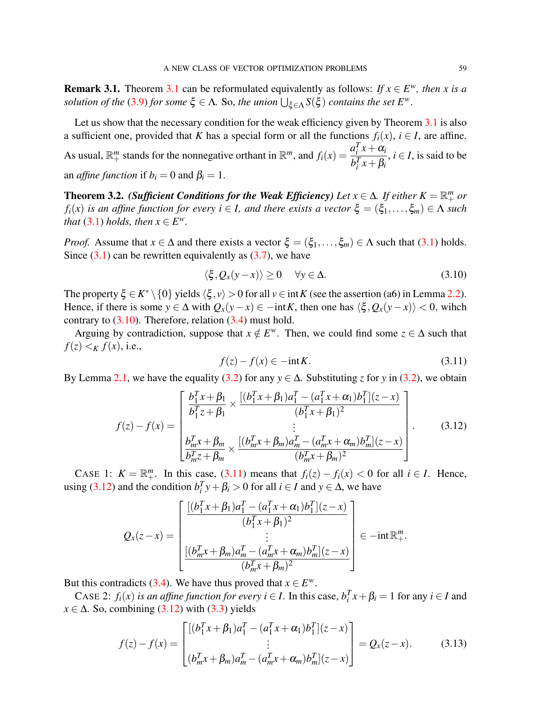**Remark [3.1](#page-4-5).** Theorem 3.1 can be reformulated equivalently as follows: *If*  $x \in E^w$ *, then x is a solution of the* [\(3.9\)](#page-5-4) *for some*  $\xi \in \Lambda$ . So, *the union*  $\bigcup_{\xi \in \Lambda} S(\xi)$  *contains the set*  $E^w$ .

Let us show that the necessary condition for the weak efficiency given by Theorem [3.1](#page-4-5) is also a sufficient one, provided that *K* has a special form or all the functions  $f_i(x)$ ,  $i \in I$ , are affine. As usual,  $\mathbb{R}^m_+$  stands for the nonnegative orthant in  $\mathbb{R}^m$ , and  $f_i(x) = \frac{a_i^T x + a_i^T x}{b_i^T x + a_i^T x}$  $b_i^T x + \beta_i$ ,  $i \in I$ , is said to be an *affine function* if  $b_i = 0$  and  $\beta_i = 1$ .

<span id="page-6-3"></span>**Theorem 3.2.** *(Sufficient Conditions for the Weak Efficiency) Let*  $x \in \Delta$ *. If either*  $K = \mathbb{R}^m_+$  *or f*<sub>*i*</sub>(*x*) *is an affine function for every <i>i* ∈ *I*, *and there exists a vector*  $\xi = (\xi_1, \dots, \xi_m) \in \Lambda$  *such that* [\(3.1\)](#page-4-4) *holds, then*  $x \in E^w$ *.* 

*Proof.* Assume that  $x \in \Delta$  and there exists a vector  $\xi = (\xi_1, \ldots, \xi_m) \in \Lambda$  such that [\(3.1\)](#page-4-4) holds. Since  $(3.1)$  can be rewritten equivalently as  $(3.7)$ , we have

<span id="page-6-0"></span>
$$
\langle \xi, Q_x(y-x) \rangle \ge 0 \quad \forall y \in \Delta. \tag{3.10}
$$

The property  $\xi \in K^* \setminus \{0\}$  yields  $\langle \xi, v \rangle > 0$  for all  $v \in \text{int } K$  (see the assertion (a6) in Lemma [2.2\)](#page-2-3). Hence, if there is some  $y \in \Delta$  with  $Q_x(y-x) \in -\mathrm{int} K$ , then one has  $\langle \xi, Q_x(y-x) \rangle < 0$ , wihch contrary to  $(3.10)$ . Therefore, relation  $(3.4)$  must hold.

Arguing by contradiction, suppose that  $x \notin E^w$ . Then, we could find some  $z \in \Delta$  such that  $f(z) \leq K f(x)$ , i.e.,

<span id="page-6-1"></span>
$$
f(z) - f(x) \in -\text{int}K. \tag{3.11}
$$

By Lemma [2.1,](#page-2-0) we have the equality [\(3.2\)](#page-4-2) for any  $y \in \Delta$ . Substituting *z* for *y* in (3.2), we obtain

<span id="page-6-2"></span>
$$
f(z) - f(x) = \begin{bmatrix} \frac{b_1^T x + \beta_1}{b_1^T z + \beta_1} \times \frac{[(b_1^T x + \beta_1)a_1^T - (a_1^T x + \alpha_1)b_1^T](z - x)}{(b_1^T x + \beta_1)^2} \\ \vdots \\ \frac{b_m^T x + \beta_m}{b_m^T z + \beta_m} \times \frac{[(b_m^T x + \beta_m)a_m^T - (a_m^T x + \alpha_m)b_m^T](z - x)}{(b_m^T x + \beta_m)^2} \end{bmatrix} .
$$
 (3.12)

CASE 1:  $K = \mathbb{R}^m_+$ . In this case, [\(3.11\)](#page-6-1) means that  $f_i(z) - f_i(x) < 0$  for all  $i \in I$ . Hence, using [\(3.12\)](#page-6-2) and the condition  $b_i^T y + \beta_i > 0$  for all  $i \in I$  and  $y \in \Delta$ , we have

$$
Q_x(z-x) = \begin{bmatrix} \frac{[(b_1^T x + \beta_1)a_1^T - (a_1^T x + \alpha_1)b_1^T](z-x)}{(b_1^T x + \beta_1)^2} \\ \vdots \\ \frac{[(b_m^T x + \beta_m)a_m^T - (a_m^T x + \alpha_m)b_m^T](z-x)}{(b_m^T x + \beta_m)^2} \end{bmatrix} \in -\text{int } \mathbb{R}^m_+.
$$

But this contradicts [\(3.4\)](#page-5-0). We have thus proved that  $x \in E^w$ .

CASE 2: *f<sub>i</sub>*(*x*) *is an affine function for every*  $i \in I$ . In this case,  $b_i^T x + \beta_i = 1$  for any  $i \in I$  and  $x \in \Delta$ . So, combining [\(3.12\)](#page-6-2) with [\(3.3\)](#page-4-3) yields

<span id="page-6-4"></span>
$$
f(z) - f(x) = \begin{bmatrix} [(b_1^T x + \beta_1)a_1^T - (a_1^T x + \alpha_1)b_1^T](z - x) \\ \vdots \\ (b_m^T x + \beta_m)a_m^T - (a_m^T x + \alpha_m)b_m^T](z - x) \end{bmatrix} = Q_x(z - x).
$$
 (3.13)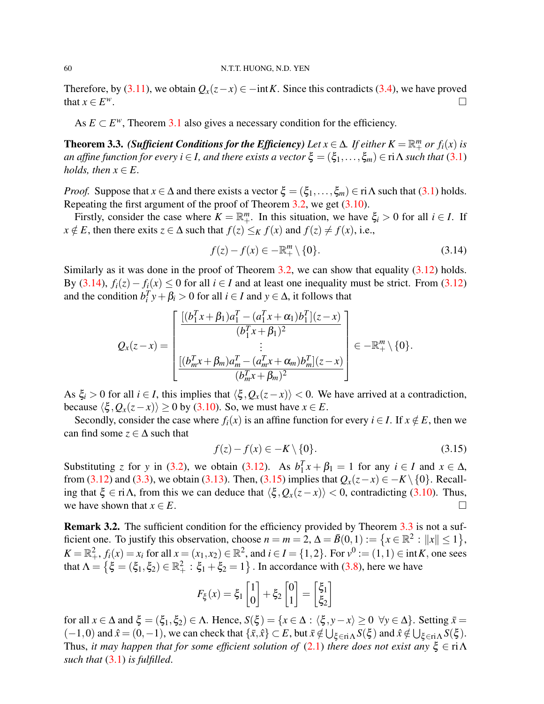Therefore, by [\(3.11\)](#page-6-1), we obtain  $Q_x(z-x) \in -\text{int } K$ . Since this contradicts [\(3.4\)](#page-5-0), we have proved that  $x \in E^w$ . *<sup>w</sup>*.

As  $E \subset E^w$ , Theorem [3.1](#page-4-5) also gives a necessary condition for the efficiency.

<span id="page-7-2"></span>**Theorem 3.3.** *(Sufficient Conditions for the Efficiency) Let*  $x \in \Delta$ *. If either*  $K = \mathbb{R}^m_+$  *or f<sub>i</sub>*(*x*) *is an affine function for every i*  $\in$  *I, and there exists a vector*  $\xi = (\xi_1, \ldots, \xi_m) \in \text{ri } \Lambda$  *such that* [\(3.1\)](#page-4-4) *holds, then*  $x \in E$ .

*Proof.* Suppose that  $x \in \Delta$  and there exists a vector  $\xi = (\xi_1, \ldots, \xi_m) \in \text{ri}\,\Lambda$  such that [\(3.1\)](#page-4-4) holds. Repeating the first argument of the proof of Theorem [3.2,](#page-6-3) we get [\(3.10\)](#page-6-0).

Firstly, consider the case where  $K = \mathbb{R}^m_+$ . In this situation, we have  $\xi_i > 0$  for all  $i \in I$ . If *x* ∉ *E*, then there exits  $z \in \Delta$  such that  $f(z) \leq_K f(x)$  and  $f(z) \neq f(x)$ , i.e.,

<span id="page-7-0"></span>
$$
f(z) - f(x) \in -\mathbb{R}_+^m \setminus \{0\}.
$$
\n
$$
(3.14)
$$

Similarly as it was done in the proof of Theorem [3.2,](#page-6-3) we can show that equality  $(3.12)$  holds. By [\(3.14\)](#page-7-0),  $f_i(z) - f_i(x) \le 0$  for all  $i \in I$  and at least one inequality must be strict. From [\(3.12\)](#page-6-2) and the condition  $b_i^T y + \beta_i > 0$  for all  $i \in I$  and  $y \in \Delta$ , it follows that

$$
Q_x(z-x) = \begin{bmatrix} \frac{[(b_1^T x + \beta_1)a_1^T - (a_1^T x + \alpha_1)b_1^T](z-x)}{(b_1^T x + \beta_1)^2} \\ \vdots \\ \frac{[(b_m^T x + \beta_m)a_m^T - (a_m^T x + \alpha_m)b_m^T](z-x)}{(b_m^T x + \beta_m)^2} \end{bmatrix} \in -\mathbb{R}_+^m \setminus \{0\}.
$$

As  $\xi_i > 0$  for all  $i \in I$ , this implies that  $\langle \xi, Q_x(z-x) \rangle < 0$ . We have arrived at a contradiction, because  $\langle \xi, Q_x(z-x) \rangle \ge 0$  by [\(3.10\)](#page-6-0). So, we must have  $x \in E$ .

Secondly, consider the case where  $f_i(x)$  is an affine function for every  $i \in I$ . If  $x \notin E$ , then we can find some  $z \in \Delta$  such that

<span id="page-7-1"></span>
$$
f(z) - f(x) \in -K \setminus \{0\}.
$$
\n(3.15)

Substituting *z* for *y* in [\(3.2\)](#page-4-2), we obtain [\(3.12\)](#page-6-2). As  $b_1^T$  $I_1^T x + \beta_1 = 1$  for any  $i \in I$  and  $x \in \Delta$ , from [\(3.12\)](#page-6-2) and [\(3.3\)](#page-4-3), we obtain [\(3.13\)](#page-6-4). Then, [\(3.15\)](#page-7-1) implies that  $Q_x(z-x) \in -K \setminus \{0\}$ . Recalling that  $\xi \in \text{ri}\,\Lambda$ , from this we can deduce that  $\langle \xi, Q_x(z-x) \rangle < 0$ , contradicting [\(3.10\)](#page-6-0). Thus, we have shown that  $x \in E$ .

<span id="page-7-3"></span>Remark 3.2. The sufficient condition for the efficiency provided by Theorem [3.3](#page-7-2) is not a sufficient one. To justify this observation, choose  $n = m = 2$ ,  $\Delta = \bar{B}(0, 1) := \{x \in \mathbb{R}^2 : ||x|| \le 1\}$ ,  $K = \mathbb{R}^2_+$ ,  $f_i(x) = x_i$  for all  $x = (x_1, x_2) \in \mathbb{R}^2$ , and  $i \in I = \{1, 2\}$ . For  $v^0 := (1, 1) \in \text{int } K$ , one sees that  $\Lambda = \{\xi = (\xi_1, \xi_2) \in \mathbb{R}_+^2 : \xi_1 + \xi_2 = 1\}$ . In accordance with [\(3.8\)](#page-5-5), here we have

$$
F_{\xi}(x) = \xi_1 \begin{bmatrix} 1 \\ 0 \end{bmatrix} + \xi_2 \begin{bmatrix} 0 \\ 1 \end{bmatrix} = \begin{bmatrix} \xi_1 \\ \xi_2 \end{bmatrix}
$$

for all  $x \in \Delta$  and  $\xi = (\xi_1, \xi_2) \in \Lambda$ . Hence,  $S(\xi) = \{x \in \Delta : \langle \xi, y - x \rangle \ge 0 \ \forall y \in \Delta \}$ . Setting  $\overline{x} =$  $(-1,0)$  and  $\hat{x} = (0,-1)$ , we can check that  $\{\bar{x}, \hat{x}\} \subset E$ , but  $\bar{x} \notin \bigcup_{\xi \in \text{ri}\Lambda} S(\xi)$  and  $\hat{x} \notin \bigcup_{\xi \in \text{ri}\Lambda} S(\xi)$ . Thus, *it may happen that for some efficient solution of*  $(2.1)$  *there does not exist any*  $\xi \in \text{ri}\,\Lambda$ *such that* [\(3.1\)](#page-4-4) *is fulfilled*.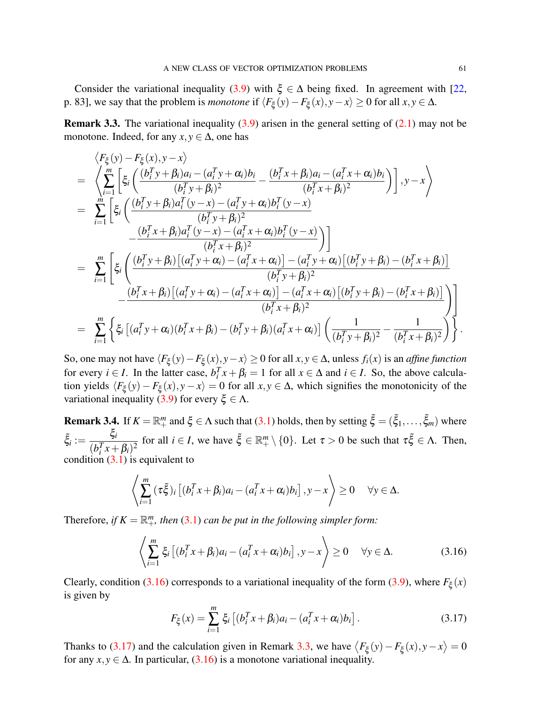Consider the variational inequality [\(3.9\)](#page-5-4) with  $\xi \in \Delta$  being fixed. In agreement with [\[22,](#page-12-16) p. 83], we say that the problem is *monotone* if  $\langle F_{\xi}(y) - F_{\xi}(x), y - x \rangle \ge 0$  for all  $x, y \in \Delta$ .

<span id="page-8-2"></span>**Remark 3.3.** The variational inequality  $(3.9)$  arisen in the general setting of  $(2.1)$  may not be monotone. Indeed, for any  $x, y \in \Delta$ , one has

$$
\langle F_{\xi}(y) - F_{\xi}(x), y - x \rangle
$$
\n
$$
= \left\langle \sum_{i=1}^{m} \left[ \xi_{i} \left( \frac{(b_{i}^{T} y + \beta_{i}) a_{i} - (a_{i}^{T} y + \alpha_{i}) b_{i}}{(b_{i}^{T} y + \beta_{i})^{2}} - \frac{(b_{i}^{T} x + \beta_{i}) a_{i} - (a_{i}^{T} x + \alpha_{i}) b_{i}}{(b_{i}^{T} x + \beta_{i})^{2}} \right) \right], y - x \right\rangle
$$
\n
$$
= \sum_{i=1}^{m} \left[ \xi_{i} \left( \frac{(b_{i}^{T} y + \beta_{i}) a_{i}^{T} (y - x) - (a_{i}^{T} y + \alpha_{i}) b_{i}^{T} (y - x)}{(b_{i}^{T} y + \beta_{i})^{2}} - \frac{(b_{i}^{T} x + \beta_{i}) a_{i}^{T} (y - x) - (a_{i}^{T} x + \alpha_{i}) b_{i}^{T} (y - x)}{(b_{i}^{T} x + \beta_{i})^{2}} \right) \right]
$$
\n
$$
= \sum_{i=1}^{m} \left[ \xi_{i} \left( \frac{(b_{i}^{T} y + \beta_{i}) [(a_{i}^{T} y + \alpha_{i}) - (a_{i}^{T} x + \alpha_{i})] - (a_{i}^{T} y + \alpha_{i}) [(b_{i}^{T} y + \beta_{i}) - (b_{i}^{T} x + \beta_{i})]}{(b_{i}^{T} y + \beta_{i})^{2}} - \frac{(b_{i}^{T} x + \beta_{i}) [(a_{i}^{T} y + \alpha_{i}) - (a_{i}^{T} x + \alpha_{i})] - (a_{i}^{T} x + \alpha_{i}) [(b_{i}^{T} y + \beta_{i}) - (b_{i}^{T} x + \beta_{i})]}{(b_{i}^{T} x + \beta_{i})^{2}} \right) \right]
$$
\n
$$
= \sum_{i=1}^{m} \left\{ \xi_{i} [(a_{i}^{T} y + \alpha_{i}) (b_{i}^{T} x + \beta_{i}) - (b_{i}^{T} y + \beta_{i}) (a_{i}^{T} x + \alpha_{i})] \left( \frac{1}{(b_{i}^{T} y + \beta_{i
$$

So, one may not have  $\langle F_{\xi}(y) - F_{\xi}(x), y - x \rangle \ge 0$  for all  $x, y \in \Delta$ , unless  $f_i(x)$  is an *affine function* for every *i*  $\in$  *I*. In the latter case,  $b_i^T x + \beta_i = 1$  for all  $x \in \Delta$  and  $i \in$  *I*. So, the above calculation yields  $\langle F_{\xi}(y) - F_{\xi}(x), y - x \rangle = 0$  for all  $x, y \in \Delta$ , which signifies the monotonicity of the variational inequality [\(3.9\)](#page-5-4) for every  $\xi \in \Lambda$ .

<span id="page-8-3"></span>**Remark 3.4.** If  $K = \mathbb{R}^m_+$  and  $\xi \in \Lambda$  such that [\(3.1\)](#page-4-4) holds, then by setting  $\tilde{\xi} = (\tilde{\xi}_1, \ldots, \tilde{\xi}_m)$  where  $\tilde{\xi}_i := \frac{\xi_i}{\sqrt{I+I}}$  $\frac{G_i}{(b_i^T x + \beta_i)^2}$  for all  $i \in I$ , we have  $\tilde{\xi} \in \mathbb{R}^m_+ \setminus \{0\}$ . Let  $\tau > 0$  be such that  $\tau \tilde{\xi} \in \Lambda$ . Then, condition  $(3.1)$  is equivalent to

$$
\left\langle \sum_{i=1}^m \left(\tau \tilde{\xi}\right)_i \left[ (b_i^T x + \beta_i) a_i - \left(a_i^T x + \alpha_i\right) b_i \right], y - x \right\rangle \geq 0 \quad \forall y \in \Delta.
$$

Therefore, *if*  $K = \mathbb{R}^m_+$ , then [\(3.1\)](#page-4-4) can be put in the following simpler form:

<span id="page-8-0"></span>
$$
\left\langle \sum_{i=1}^{m} \xi_i \left[ (b_i^T x + \beta_i) a_i - (a_i^T x + \alpha_i) b_i \right], y - x \right\rangle \ge 0 \quad \forall y \in \Delta.
$$
 (3.16)

Clearly, condition [\(3.16\)](#page-8-0) corresponds to a variational inequality of the form [\(3.9\)](#page-5-4), where  $F_{\xi}(x)$ is given by

<span id="page-8-1"></span>
$$
F_{\xi}(x) = \sum_{i=1}^{m} \xi_i \left[ (b_i^T x + \beta_i) a_i - (a_i^T x + \alpha_i) b_i \right].
$$
 (3.17)

Thanks to [\(3.17\)](#page-8-1) and the calculation given in Remark [3.3,](#page-8-2) we have  $\langle F_\xi(y) - F_\xi(x), y - x \rangle = 0$ for any  $x, y \in \Delta$ . In particular, [\(3.16\)](#page-8-0) is a monotone variational inequality.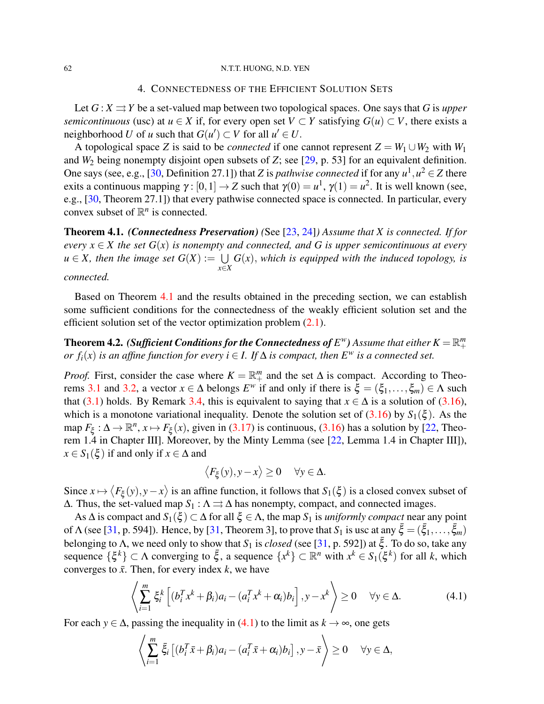#### <span id="page-9-0"></span>62 N.T.T. HUONG, N.D. YEN

#### 4. CONNECTEDNESS OF THE EFFICIENT SOLUTION SETS

Let  $G: X \rightrightarrows Y$  be a set-valued map between two topological spaces. One says that *G* is *upper semicontinuous* (usc) at *u* ∈ *X* if, for every open set *V* ⊂ *Y* satisfying  $G(u) \subset V$ , there exists a neighborhood *U* of *u* such that  $G(u') \subset V$  for all  $u' \in U$ .

A topological space *Z* is said to be *connected* if one cannot represent  $Z = W_1 \cup W_2$  with  $W_1$ and  $W_2$  being nonempty disjoint open subsets of *Z*; see [\[29,](#page-12-23) p. 53] for an equivalent definition. One says (see, e.g., [\[30,](#page-12-24) Definition 27.1]) that *Z* is *pathwise connected* if for any  $u^1, u^2 \in Z$  there exits a continuous mapping  $\gamma : [0,1] \to Z$  such that  $\gamma(0) = u^1$ ,  $\gamma(1) = u^2$ . It is well known (see, e.g., [\[30,](#page-12-24) Theorem 27.1]) that every pathwise connected space is connected. In particular, every convex subset of  $\mathbb{R}^n$  is connected.

<span id="page-9-1"></span>Theorem 4.1. *(Connectedness Preservation) (*See [\[23,](#page-12-17) [24\]](#page-12-18)*) Assume that X is connected. If for every*  $x \in X$  *the set*  $G(x)$  *is nonempty and connected, and* G *is upper semicontinuous at every*  $u \in X$ , then the image set  $G(X) := \bigcup G(x)$ , which is equipped with the induced topology, is *x*∈*X connected.*

Based on Theorem [4.1](#page-9-1) and the results obtained in the preceding section, we can establish some sufficient conditions for the connectedness of the weakly efficient solution set and the efficient solution set of the vector optimization problem [\(2.1\)](#page-1-0).

<span id="page-9-3"></span>**Theorem 4.2.** *(Sufficient Conditions for the Connectedness of*  $E^w$ *) Assume that either*  $K = \mathbb{R}^m_+$ *or f*<sub>*i*</sub>(*x*) *is an affine function for every <i>i*  $\in$  *I. If*  $\Delta$  *is compact, then*  $E^w$  *is a connected set.* 

*Proof.* First, consider the case where  $K = \mathbb{R}^m_+$  and the set  $\Delta$  is compact. According to Theo-rems [3.1](#page-4-5) and [3.2,](#page-6-3) a vector  $x \in \Delta$  belongs  $E^w$  if and only if there is  $\xi = (\xi_1, \dots, \xi_m) \in \Lambda$  such that [\(3.1\)](#page-4-4) holds. By Remark [3.4,](#page-8-3) this is equivalent to saying that  $x \in \Delta$  is a solution of [\(3.16\)](#page-8-0), which is a monotone variational inequality. Denote the solution set of  $(3.16)$  by  $S_1(\xi)$ . As the map  $F_{\xi}: \Delta \to \mathbb{R}^n$ ,  $x \mapsto F_{\xi}(x)$ , given in [\(3.17\)](#page-8-1) is continuous, [\(3.16\)](#page-8-0) has a solution by [\[22,](#page-12-16) Theorem 1.4 in Chapter III]. Moreover, by the Minty Lemma (see [\[22,](#page-12-16) Lemma 1.4 in Chapter III]),  $x \in S_1(\xi)$  if and only if  $x \in \Delta$  and

$$
\langle F_{\xi}(y), y - x \rangle \ge 0 \quad \forall y \in \Delta.
$$

Since  $x \mapsto \langle F_{\xi}(y), y - x \rangle$  is an affine function, it follows that  $S_1(\xi)$  is a closed convex subset of  $\Delta$ . Thus, the set-valued map  $S_1 : \Lambda \rightrightarrows \Delta$  has nonempty, compact, and connected images.

As  $\Delta$  is compact and  $S_1(\xi) \subset \Delta$  for all  $\xi \in \Lambda$ , the map  $S_1$  is *uniformly compact* near any point of  $\Lambda$  (see [\[31,](#page-12-25) p. 594]). Hence, by [31, Theorem 3], to prove that  $S_1$  is usc at any  $\bar{\xi} = (\bar{\xi}_1, \ldots, \bar{\xi}_m)$ belonging to  $\Lambda$ , we need only to show that  $S_1$  is *closed* (see [\[31,](#page-12-25) p. 592]) at  $\bar{\xi}$ . To do so, take any sequence  $\{\xi^k\} \subset \Lambda$  converging to  $\bar{\xi}$ , a sequence  $\{x^k\} \subset \mathbb{R}^n$  with  $x^k \in S_1(\xi^k)$  for all *k*, which converges to  $\bar{x}$ . Then, for every index *k*, we have

<span id="page-9-2"></span>
$$
\left\langle \sum_{i=1}^{m} \xi_i^k \left[ (b_i^T x^k + \beta_i) a_i - (a_i^T x^k + \alpha_i) b_i \right], y - x^k \right\rangle \ge 0 \quad \forall y \in \Delta.
$$
 (4.1)

For each *y*  $\in \Delta$ , passing the inequality in [\(4.1\)](#page-9-2) to the limit as  $k \to \infty$ , one gets

$$
\left\langle \sum_{i=1}^m \bar{\xi}_i \left[ (b_i^T \bar{x} + \beta_i) a_i - (a_i^T \bar{x} + \alpha_i) b_i \right], y - \bar{x} \right\rangle \ge 0 \quad \forall y \in \Delta,
$$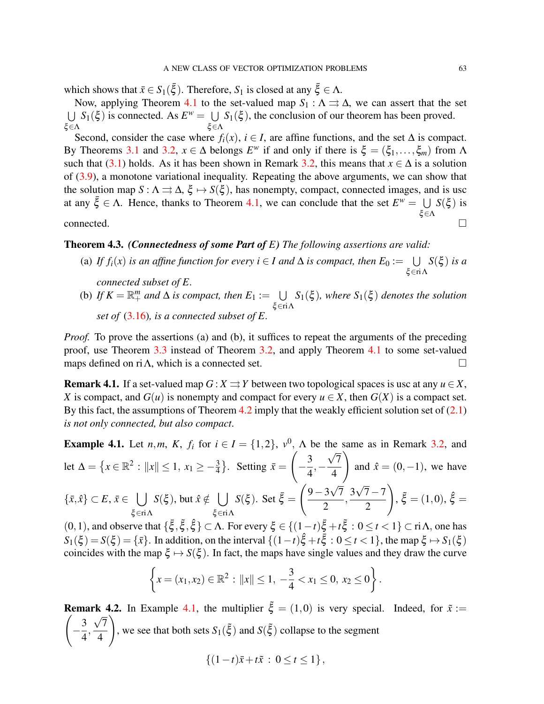which shows that  $\bar{x} \in S_1(\bar{\xi})$ . Therefore,  $S_1$  is closed at any  $\bar{\xi} \in \Lambda$ .

Now, applying Theorem [4.1](#page-9-1) to the set-valued map  $S_1 : \Lambda \rightrightarrows \Delta$ , we can assert that the set  $\bigcup S_1(\xi)$  is connected. As  $E^w = \bigcup S_1(\xi)$ , the conclusion of our theorem has been proved. ξ∈Λ ξ∈Λ

Second, consider the case where  $f_i(x)$ ,  $i \in I$ , are affine functions, and the set  $\Delta$  is compact. By Theorems [3.1](#page-4-5) and [3.2,](#page-6-3)  $x \in \Delta$  belongs  $E^w$  if and only if there is  $\xi = (\xi_1, \ldots, \xi_m)$  from  $\Lambda$ such that [\(3.1\)](#page-4-4) holds. As it has been shown in Remark [3.2,](#page-7-3) this means that  $x \in \Delta$  is a solution of [\(3.9\)](#page-5-4), a monotone variational inequality. Repeating the above arguments, we can show that the solution map  $S : \Lambda \rightrightarrows \Delta$ ,  $\xi \mapsto S(\xi)$ , has nonempty, compact, connected images, and is usc at any  $\bar{\xi} \in \Lambda$ . Hence, thanks to Theorem [4.1,](#page-9-1) we can conclude that the set  $E^w = \bigcup S(\xi)$  is ξ∈Λ connected.  $\Box$ 

# <span id="page-10-1"></span>Theorem 4.3. *(Connectedness of some Part of E) The following assertions are valid:*

- (a) If  $f_i(x)$  *is an affine function for every i*  $\in$  *I and*  $\Delta$  *is compact, then*  $E_0 := \bigcup$ ξ∈riΛ *S*(ξ ) *is a connected subset of E.*
- (b) If  $K = \mathbb{R}^m_+$  and  $\Delta$  *is compact, then*  $E_1 := \bigcup S_1(\xi)$ *, where*  $S_1(\xi)$  *denotes the solution* ξ∈riΛ *set of* [\(3.16\)](#page-8-0)*, is a connected subset of E.*

*Proof.* To prove the assertions (a) and (b), it suffices to repeat the arguments of the preceding proof, use Theorem [3.3](#page-7-2) instead of Theorem [3.2,](#page-6-3) and apply Theorem [4.1](#page-9-1) to some set-valued maps defined on ri $\Lambda$ , which is a connected set.

**Remark 4.1.** If a set-valued map  $G: X \rightrightarrows Y$  between two topological spaces is usc at any  $u \in X$ , *X* is compact, and  $G(u)$  is nonempty and compact for every  $u \in X$ , then  $G(X)$  is a compact set. By this fact, the assumptions of Theorem  $4.2$  imply that the weakly efficient solution set of  $(2.1)$ *is not only connected, but also compact*.

<span id="page-10-0"></span>**Example 4.1.** Let *n*,*m*, *K*,  $f_i$  for  $i \in I = \{1,2\}$ ,  $v^0$ ,  $\Lambda$  be the same as in Remark [3.2,](#page-7-3) and let  $\Delta = \{x \in \mathbb{R}^2 : ||x|| \le 1, x_1 \ge -\frac{3}{4}\}.$  Setting  $\bar{x} =$  $\sqrt{ }$  $-\frac{3}{4}$ 4 ,− µ∟ 7 4  $\setminus$ and  $\hat{x} = (0,-1)$ , we have  $\{\bar{x}, \hat{x}\} \subset E, \, \bar{x} \in \Box$ ξ∈riΛ  $S(\xi)$ , but  $\hat{x} \notin \bigcup$ ξ∈riΛ  $S(\xi)$ . Set  $\bar{\xi}$  =  $\sqrt{9-3\sqrt{7}}$ √ √ 2  $\frac{3\sqrt{7}-7}{2}$ 2  $\setminus$ ,  $\xi = (1,0), \hat{\xi} =$ 

(0, 1), and observe that  $\{\xi, \xi, \xi\}$  ⊂ Λ. For every  $\xi \in \{(1-t)\bar{\xi} + t\bar{\xi} : 0 \le t < 1\}$  ⊂ riΛ, one has  $S_1(\xi) = S(\xi) = \{\bar{x}\}\$ . In addition, on the interval  $\{(1-t)\hat{\xi} + t\bar{\xi} : 0 \le t < 1\}$ , the map  $\xi \mapsto S_1(\xi)$ coincides with the map  $\xi \mapsto S(\xi)$ . In fact, the maps have single values and they draw the curve

$$
\left\{x = (x_1, x_2) \in \mathbb{R}^2 : ||x|| \le 1, -\frac{3}{4} < x_1 \le 0, x_2 \le 0\right\}.
$$

**Remark 4.2.** In Example [4.1,](#page-10-0) the multiplier  $\tilde{\xi} = (1,0)$  is very special. Indeed, for  $\tilde{x} :=$  $\sqrt{ }$  $-\frac{3}{4}$ 4  $\frac{\sqrt{7}}{4}$ 4  $\setminus$ , we see that both sets  $S_1(\tilde{\xi})$  and  $S(\tilde{\xi})$  collapse to the segment

$$
\{(1-t)\bar{x}+t\tilde{x}: 0 \le t \le 1\},\
$$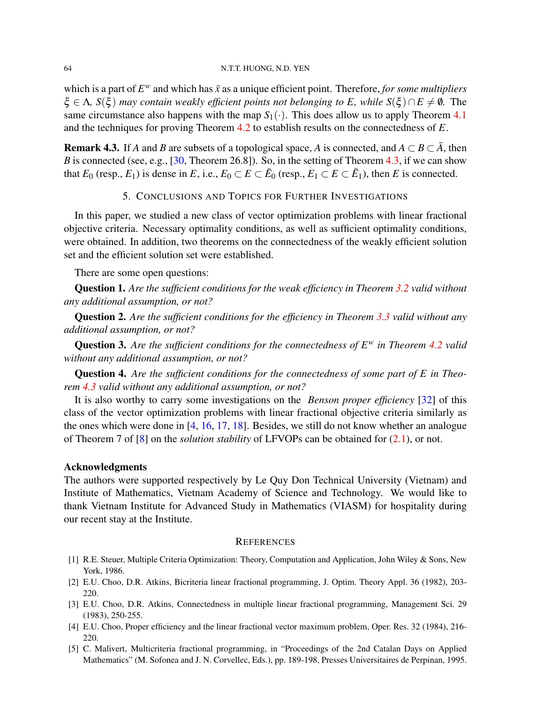which is a part of  $E^w$  and which has  $\bar{x}$  as a unique efficient point. Therefore, *for some multipliers*  $\xi \in \Lambda$ ,  $S(\xi)$  *may contain weakly efficient points not belonging to E, while*  $S(\xi) \cap E \neq \emptyset$ . The same circumstance also happens with the map  $S_1(\cdot)$ . This does allow us to apply Theorem [4.1](#page-9-1) and the techniques for proving Theorem [4.2](#page-9-3) to establish results on the connectedness of *E*.

**Remark 4.3.** If *A* and *B* are subsets of a topological space, *A* is connected, and  $A \subset B \subset \overline{A}$ , then *B* is connected (see, e.g., [\[30,](#page-12-24) Theorem 26.8]). So, in the setting of Theorem [4.3,](#page-10-1) if we can show that  $E_0$  (resp.,  $E_1$ ) is dense in  $E$ , i.e.,  $E_0 \subset E \subset \bar{E}_0$  (resp.,  $E_1 \subset E \subset \bar{E}_1$ ), then  $E$  is connected.

## 5. CONCLUSIONS AND TOPICS FOR FURTHER INVESTIGATIONS

<span id="page-11-5"></span>In this paper, we studied a new class of vector optimization problems with linear fractional objective criteria. Necessary optimality conditions, as well as sufficient optimality conditions, were obtained. In addition, two theorems on the connectedness of the weakly efficient solution set and the efficient solution set were established.

There are some open questions:

Question 1. *Are the sufficient conditions for the weak efficiency in Theorem [3.2](#page-6-3) valid without any additional assumption, or not?*

Question 2. *Are the sufficient conditions for the efficiency in Theorem [3.3](#page-7-2) valid without any additional assumption, or not?*

Question 3. *Are the sufficient conditions for the connectedness of E<sup>w</sup> in Theorem [4.2](#page-9-3) valid without any additional assumption, or not?*

Question 4. *Are the sufficient conditions for the connectedness of some part of E in Theorem [4.3](#page-10-1) valid without any additional assumption, or not?*

It is also worthy to carry some investigations on the *Benson proper efficiency* [\[32\]](#page-12-26) of this class of the vector optimization problems with linear fractional objective criteria similarly as the ones which were done in [\[4,](#page-11-3) [16,](#page-12-10) [17,](#page-12-11) [18\]](#page-12-12). Besides, we still do not know whether an analogue of Theorem 7 of [\[8\]](#page-12-2) on the *solution stability* of LFVOPs can be obtained for [\(2.1\)](#page-1-0), or not.

#### Acknowledgments

The authors were supported respectively by Le Quy Don Technical University (Vietnam) and Institute of Mathematics, Vietnam Academy of Science and Technology. We would like to thank Vietnam Institute for Advanced Study in Mathematics (VIASM) for hospitality during our recent stay at the Institute.

#### **REFERENCES**

- <span id="page-11-0"></span>[1] R.E. Steuer, Multiple Criteria Optimization: Theory, Computation and Application, John Wiley & Sons, New York, 1986.
- <span id="page-11-1"></span>[2] E.U. Choo, D.R. Atkins, Bicriteria linear fractional programming, J. Optim. Theory Appl. 36 (1982), 203- 220.
- <span id="page-11-2"></span>[3] E.U. Choo, D.R. Atkins, Connectedness in multiple linear fractional programming, Management Sci. 29 (1983), 250-255.
- <span id="page-11-3"></span>[4] E.U. Choo, Proper efficiency and the linear fractional vector maximum problem, Oper. Res. 32 (1984), 216- 220.
- <span id="page-11-4"></span>[5] C. Malivert, Multicriteria fractional programming, in "Proceedings of the 2nd Catalan Days on Applied Mathematics" (M. Sofonea and J. N. Corvellec, Eds.), pp. 189-198, Presses Universitaires de Perpinan, 1995.